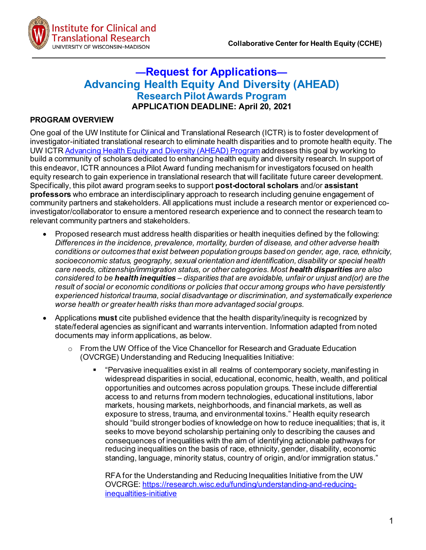

# **—Request for Applications— Advancing Health Equity And Diversity (AHEAD) Research Pilot Awards Program APPLICATION DEADLINE: April 20, 2021**

#### **PROGRAM OVERVIEW**

One goal of the UW Institute for Clinical and Translational Research (ICTR) is to foster development of investigator-initiated translational research to eliminate health disparities and to promote health equity. The UW ICT[R Advancing Health Equity and Diversity \(AHEAD\) Program](https://ictr.wisc.edu/program/ahead-program/) addresses this goal by working to build a community of scholars dedicated to enhancing health equity and diversity research. In support of this endeavor, ICTR announces a Pilot Award funding mechanism for investigators focused on health equity research to gain experience in translational research that will facilitate future career development. Specifically, this pilot award program seeks to support **post-doctoral scholars** and/or **assistant professors** who embrace an interdisciplinary approach to research including genuine engagement of community partners and stakeholders. All applications must include a research mentor or experienced coinvestigator/collaborator to ensure a mentored research experience and to connect the research team to relevant community partners and stakeholders.

- Proposed research must address health disparities or health inequities defined by the following: *Differences in the incidence, prevalence, mortality, burden of disease, and other adverse health conditions or outcomes that exist between population groups based on gender, age, race, ethnicity, socioeconomic status, geography, sexual orientation and identification, disability or special health care needs, citizenship/immigration status, or other categories. Most health disparities are also considered to be health inequities – disparities that are avoidable, unfair or unjust and(or) are the result of social or economic conditions or policies that occur among groups who have persistently experienced historical trauma, social disadvantage or discrimination, and systematically experience worse health or greater health risks than more advantaged social groups.*
- Applications **must** cite published evidence that the health disparity/inequity is recognized by state/federal agencies as significant and warrants intervention. Information adapted from noted documents may inform applications, as below.
	- o From the UW Office of the Vice Chancellor for Research and Graduate Education (OVCRGE) Understanding and Reducing Inequalities Initiative:
		- "Pervasive inequalities exist in all realms of contemporary society, manifesting in widespread disparities in social, educational, economic, health, wealth, and political opportunities and outcomes across population groups. These include differential access to and returns from modern technologies, educational institutions, labor markets, housing markets, neighborhoods, and financial markets, as well as exposure to stress, trauma, and environmental toxins." Health equity research should "build stronger bodies of knowledge on how to reduce inequalities; that is, it seeks to move beyond scholarship pertaining only to describing the causes and consequences of inequalities with the aim of identifying actionable pathways for reducing inequalities on the basis of race, ethnicity, gender, disability, economic standing, language, minority status, country of origin, and/or immigration status."

RFA for the Understanding and Reducing Inequalities Initiative from the UW OVCRGE: [https://research.wisc.edu/funding/understanding-and-reducing](https://research.wisc.edu/funding/understanding-and-reducing-inequaltities-initiative)[inequaltities-initiative](https://research.wisc.edu/funding/understanding-and-reducing-inequaltities-initiative)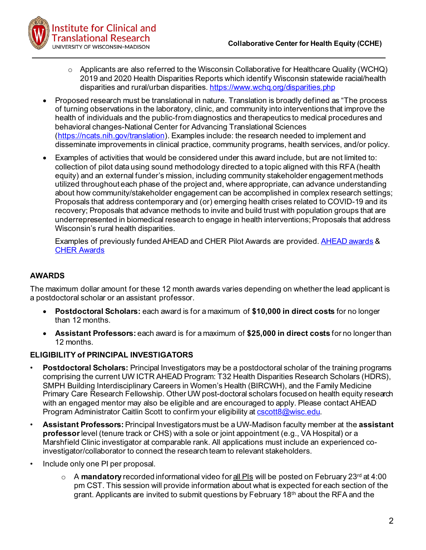

- $\circ$  Applicants are also referred to the Wisconsin Collaborative for Healthcare Quality (WCHQ) 2019 and 2020 Health Disparities Reports which identify Wisconsin statewide racial/health disparities and rural/urban disparities. <https://www.wchq.org/disparities.php>
- Proposed research must be translational in nature. Translation is broadly defined as "The process of turning observations in the laboratory, clinic, and community into interventions that improve the health of individuals and the public-from diagnostics and therapeutics to medical procedures and behavioral changes-National Center for Advancing Translational Sciences [\(https://ncats.nih.gov/translation\)](https://ncats.nih.gov/translation). Examples include: the research needed to implement and disseminate improvements in clinical practice, community programs, health services, and/or policy.
- Examples of activities that would be considered under this award include, but are not limited to: collection of pilot data using sound methodology directed to a topic aligned with this RFA (health equity) and an external funder's mission, including community stakeholder engagement methods utilized throughout each phase of the project and, where appropriate, can advance understanding about how community/stakeholder engagement can be accomplished in complex research settings; Proposals that address contemporary and (or) emerging health crises related to COVID-19 and its recovery; Proposals that advance methods to invite and build trust with population groups that are underrepresented in biomedical research to engage in health interventions; Proposals that address Wisconsin's rural health disparities.

Examples of previously funded AHEAD and CHER Pilot Awards are provided. [AHEAD awards](https://ictr.wisc.edu/documents/previously-awarded-ahead-pilot-grants/) & [CHER Awards](https://ictr.wisc.edu/funding/cher/)

# **AWARDS**

The maximum dollar amount for these 12 month awards varies depending on whether the lead applicant is a postdoctoral scholar or an assistant professor.

- **Postdoctoral Scholars:** each award is for a maximum of **\$10,000 in direct costs** for no longer than 12 months.
- **Assistant Professors:** each award is for a maximum of **\$25,000 in direct costs** for no longer than 12 months.

## **ELIGIBILITY of PRINCIPAL INVESTIGATORS**

- **Postdoctoral Scholars:** Principal Investigators may be a postdoctoral scholar of the training programs comprising the current UW ICTR AHEAD Program: T32 Health Disparities Research Scholars (HDRS), SMPH Building Interdisciplinary Careers in Women's Health (BIRCWH), and the Family Medicine Primary Care Research Fellowship. Other UW post-doctoral scholars focused on health equity research with an engaged mentor may also be eligible and are encouraged to apply. Please contact AHEAD Program Administrator Caitlin Scott to confirm your eligibility a[t cscott8@wisc.edu](mailto:cscott8@wisc.edu).
- **Assistant Professors:** Principal Investigators must be a UW-Madison faculty member at the **assistant professor**level (tenure track or CHS) with a sole or joint appointment (e.g., VA Hospital) or a Marshfield Clinic investigator at comparable rank. All applications must include an experienced coinvestigator/collaborator to connect the research team to relevant stakeholders.
- Include only one PI per proposal.
	- o A mandatory recorded informational video for all PIs will be posted on February 23<sup>rd</sup> at 4:00 pm CST. This session will provide information about what is expected for each section of the grant. Applicants are invited to submit questions by February 18<sup>th</sup> about the RFA and the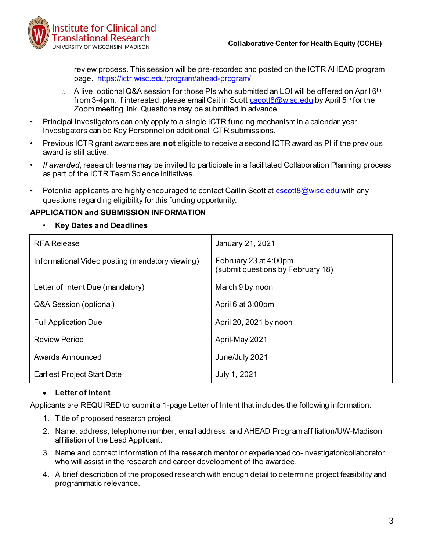

review process. This session will be pre-recorded and posted on the ICTR AHEAD program page. <https://ictr.wisc.edu/program/ahead-program/>

- $\circ$  A live, optional Q&A session for those PIs who submitted an LOI will be offered on April 6<sup>th</sup> from 3-4pm. If interested, please email Caitlin Scott [cscott8@wisc.edu](mailto:cscott8@wisc.edu) by April 5<sup>th</sup> for the Zoom meeting link. Questions may be submitted in advance.
- Principal Investigators can only apply to a single ICTR funding mechanism in a calendar year. Investigators can be Key Personnel on additional ICTR submissions.
- Previous ICTR grant awardees are **not** eligible to receive a second ICTR award as PI if the previous award is still active.
- *If awarded*, research teams may be invited to participate in a facilitated Collaboration Planning process as part of the ICTR Team Science initiatives.
- Potential applicants are highly encouraged to contact Caitlin Scott at [cscott8@wisc.edu](mailto:cscott8@wisc.edu) with any questions regarding eligibility for this funding opportunity.

#### **APPLICATION and SUBMISSION INFORMATION**

• **Key Dates and Deadlines**

| <b>RFA Release</b>                              | January 21, 2021                                           |
|-------------------------------------------------|------------------------------------------------------------|
| Informational Video posting (mandatory viewing) | February 23 at 4:00pm<br>(submit questions by February 18) |
| Letter of Intent Due (mandatory)                | March 9 by noon                                            |
| Q&A Session (optional)                          | April 6 at 3:00pm                                          |
| <b>Full Application Due</b>                     | April 20, 2021 by noon                                     |
| <b>Review Period</b>                            | April-May 2021                                             |
| <b>Awards Announced</b>                         | June/July 2021                                             |
| <b>Earliest Project Start Date</b>              | July 1, 2021                                               |

## • **Letter of Intent**

Applicants are REQUIRED to submit a 1-page Letter of Intent that includes the following information:

- 1. Title of proposed research project.
- 2. Name, address, telephone number, email address, and AHEAD Program affiliation/UW-Madison affiliation of the Lead Applicant.
- 3. Name and contact information of the research mentor or experienced co-investigator/collaborator who will assist in the research and career development of the awardee.
- 4. A brief description of the proposed research with enough detail to determine project feasibility and programmatic relevance.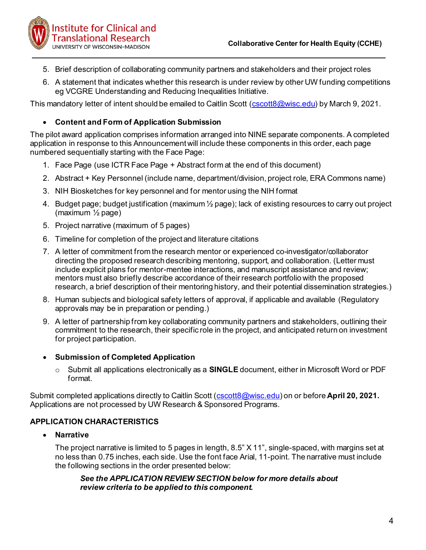

- 5. Brief description of collaborating community partners and stakeholders and their project roles
- 6. A statement that indicates whether this research is under review by other UW funding competitions eg VCGRE Understanding and Reducing Inequalities Initiative.

This mandatory letter of intent should be emailed to Caitlin Scott [\(cscott8@wisc.edu\)](mailto:cscott8@wisc.edu) by March 9, 2021.

# • **Content and Form of Application Submission**

The pilot award application comprises information arranged into NINE separate components. A completed application in response to this Announcement will include these components in this order, each page numbered sequentially starting with the Face Page:

- 1. Face Page (use ICTR Face Page + Abstract form at the end of this document)
- 2. Abstract + Key Personnel (include name, department/division, project role, ERA Commons name)
- 3. NIH Biosketches for key personnel and for mentor using the NIH format
- 4. Budget page; budget justification (maximum ½ page); lack of existing resources to carry out project (maximum ½ page)
- 5. Project narrative (maximum of 5 pages)
- 6. Timeline for completion of the project and literature citations
- 7. A letter of commitment from the research mentor or experienced co-investigator/collaborator directing the proposed research describing mentoring, support, and collaboration. (Letter must include explicit plans for mentor-mentee interactions, and manuscript assistance and review; mentors must also briefly describe accordance of their research portfolio with the proposed research, a brief description of their mentoring history, and their potential dissemination strategies.)
- 8. Human subjects and biological safety letters of approval, if applicable and available (Regulatory approvals may be in preparation or pending.)
- 9. A letter of partnership from key collaborating community partners and stakeholders, outlining their commitment to the research, their specific role in the project, and anticipated return on investment for project participation.

## • **Submission of Completed Application**

o Submit all applications electronically as a **SINGLE** document, either in Microsoft Word or PDF format.

Submit completed applications directly to Caitlin Scott [\(cscott8@wisc.edu](mailto:cscott8@wisc.edu)) on or before **April 20, 2021.** Applications are not processed by UW Research & Sponsored Programs.

## **APPLICATION CHARACTERISTICS**

## • **Narrative**

The project narrative is limited to 5 pages in length, 8.5" X 11", single-spaced, with margins set at no less than 0.75 inches, each side. Use the font face Arial, 11-point. The narrative must include the following sections in the order presented below:

#### *See the APPLICATION REVIEW SECTION below for more details about review criteria to be applied to this component.*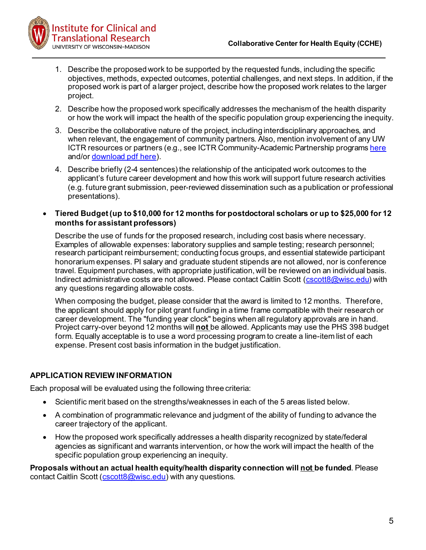

- 1. Describe the proposed work to be supported by the requested funds, including the specific objectives, methods, expected outcomes, potential challenges, and next steps. In addition, if the proposed work is part of a larger project, describe how the proposed work relates to the larger project.
- 2. Describe how the proposed work specifically addresses the mechanism of the health disparity or how the work will impact the health of the specific population group experiencing the inequity.
- 3. Describe the collaborative nature of the project, including interdisciplinary approaches, and when relevant, the engagement of community partners. Also, mention involvement of any UW ICTR resources or partners (e.g., see ICTR Community-Academic Partnership program[s here](https://ictr.wisc.edu/community-academic-research/) and/o[r download pdf here](https://d1uqjtzsuwlnsf.cloudfront.net/wp-content/uploads/sites/163/2020/03/2020_10_20_CAP_ProgramsAffiliatesDescription.pdf)).
- 4. Describe briefly (2-4 sentences) the relationship of the anticipated work outcomes to the applicant's future career development and how this work will support future research activities (e.g. future grant submission, peer-reviewed dissemination such as a publication or professional presentations).
- **Tiered Budget(up to \$10,000 for 12 months for postdoctoral scholars or up to \$25,000 for 12 months for assistant professors)**

Describe the use of funds for the proposed research, including cost basis where necessary. Examples of allowable expenses: laboratory supplies and sample testing; research personnel; research participant reimbursement; conducting focus groups, and essential statewide participant honorarium expenses. PI salary and graduate student stipends are not allowed, nor is conference travel. Equipment purchases, with appropriate justification, will be reviewed on an individual basis. Indirect administrative costs are not allowed. Please contact Caitlin Scott [\(cscott8@wisc.edu](mailto:cscott8@wisc.edu)) with any questions regarding allowable costs.

When composing the budget, please consider that the award is limited to 12 months. Therefore, the applicant should apply for pilot grant funding in a time frame compatible with their research or career development. The "funding year clock" begins when all regulatory approvals are in hand. Project carry-over beyond 12 months will **not** be allowed. Applicants may use the PHS 398 budget form. Equally acceptable is to use a word processing program to create a line-item list of each expense. Present cost basis information in the budget justification.

# **APPLICATION REVIEW INFORMATION**

Each proposal will be evaluated using the following three criteria:

- Scientific merit based on the strengths/weaknesses in each of the 5 areas listed below.
- A combination of programmatic relevance and judgment of the ability of funding to advance the career trajectory of the applicant.
- How the proposed work specifically addresses a health disparity recognized by state/federal agencies as significant and warrants intervention, or how the work will impact the health of the specific population group experiencing an inequity.

**Proposals without an actual health equity/health disparity connection will not be funded**. Please contact Caitlin Scott [\(cscott8@wisc.edu](mailto:cscott8@wisc.edu)) with any questions.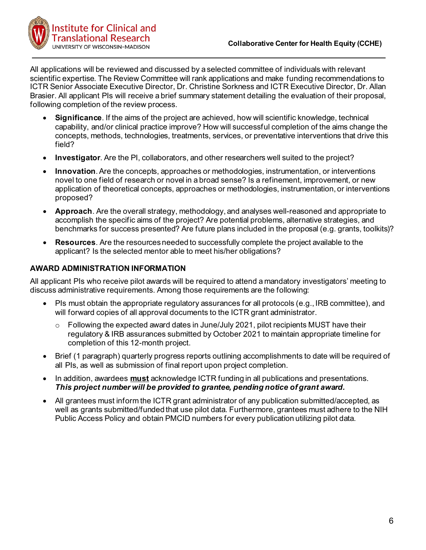

All applications will be reviewed and discussed by a selected committee of individuals with relevant scientific expertise. The Review Committee will rank applications and make funding recommendations to ICTR Senior Associate Executive Director, Dr. Christine Sorkness and ICTR Executive Director, Dr. Allan Brasier. All applicant PIs will receive a brief summary statement detailing the evaluation of their proposal, following completion of the review process.

- **Significance**. If the aims of the project are achieved, how will scientific knowledge, technical capability, and/or clinical practice improve? How will successful completion of the aims change the concepts, methods, technologies, treatments, services, or preventative interventions that drive this field?
- **Investigator**. Are the PI, collaborators, and other researchers well suited to the project?
- **Innovation**. Are the concepts, approaches or methodologies, instrumentation, or interventions novel to one field of research or novel in a broad sense? Is a refinement, improvement, or new application of theoretical concepts, approaches or methodologies, instrumentation, or interventions proposed?
- **Approach**. Are the overall strategy, methodology, and analyses well-reasoned and appropriate to accomplish the specific aims of the project? Are potential problems, alternative strategies, and benchmarks for success presented? Are future plans included in the proposal (e.g. grants, toolkits)?
- **Resources**. Are the resources needed to successfully complete the project available to the applicant? Is the selected mentor able to meet his/her obligations?

# **AWARD ADMINISTRATION INFORMATION**

All applicant PIs who receive pilot awards will be required to attend a mandatory investigators' meeting to discuss administrative requirements. Among those requirements are the following:

- PIs must obtain the appropriate regulatory assurances for all protocols (e.g., IRB committee), and will forward copies of all approval documents to the ICTR grant administrator.
	- $\circ$  Following the expected award dates in June/July 2021, pilot recipients MUST have their regulatory & IRB assurances submitted by October 2021 to maintain appropriate timeline for completion of this 12-month project.
- Brief (1 paragraph) quarterly progress reports outlining accomplishments to date will be required of all PIs, as well as submission of final report upon project completion.
- In addition, awardees **must** acknowledge ICTR funding in all publications and presentations. *This project number will be provided to grantee, pending notice of grant award.*
- All grantees must inform the ICTR grant administrator of any publication submitted/accepted, as well as grants submitted/funded that use pilot data. Furthermore, grantees must adhere to the NIH Public Access Policy and obtain PMCID numbers for every publication utilizing pilot data.